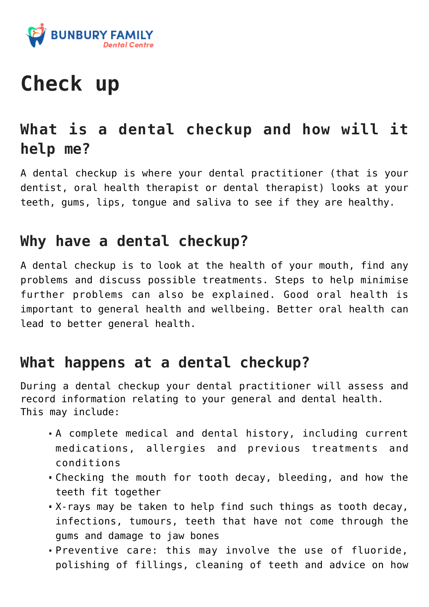

# **Check up**

# **What is a dental checkup and how will it help me?**

A dental checkup is where your dental practitioner (that is your dentist, oral health therapist or dental therapist) looks at your teeth, gums, lips, tongue and saliva to see if they are healthy.

### **Why have a dental checkup?**

A dental checkup is to look at the health of your mouth, find any problems and discuss possible treatments. Steps to help minimise further problems can also be explained. Good oral health is important to general health and wellbeing. Better oral health can lead to better general health.

## **What happens at a dental checkup?**

During a dental checkup your dental practitioner will assess and record information relating to your general and dental health. This may include:

- A complete medical and dental history, including current medications, allergies and previous treatments and conditions
- Checking the mouth for tooth decay, bleeding, and how the teeth fit together
- X-rays may be taken to help find such things as tooth decay, infections, tumours, teeth that have not come through the gums and damage to jaw bones
- Preventive care: this may involve the use of fluoride, polishing of fillings, cleaning of teeth and advice on how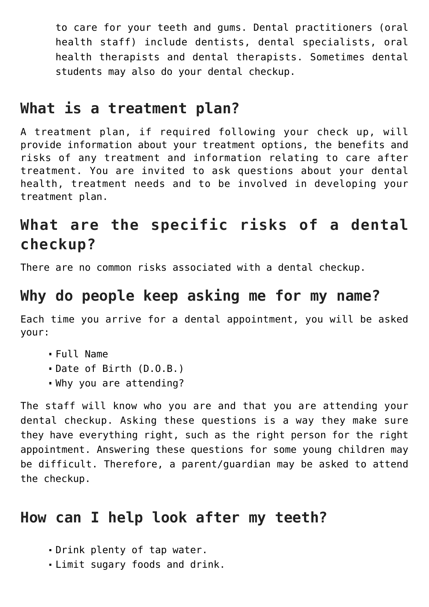to care for your teeth and gums. Dental practitioners (oral health staff) include dentists, dental specialists, oral health therapists and dental therapists. Sometimes dental students may also do your dental checkup.

#### **What is a treatment plan?**

A treatment plan, if required following your check up, will provide information about your treatment options, the benefits and risks of any treatment and information relating to care after treatment. You are invited to ask questions about your dental health, treatment needs and to be involved in developing your treatment plan.

# **What are the specific risks of a dental checkup?**

There are no common risks associated with a dental checkup.

## **Why do people keep asking me for my name?**

Each time you arrive for a dental appointment, you will be asked your:

- Full Name
- Date of Birth (D.O.B.)
- Why you are attending?

The staff will know who you are and that you are attending your dental checkup. Asking these questions is a way they make sure they have everything right, such as the right person for the right appointment. Answering these questions for some young children may be difficult. Therefore, a parent/guardian may be asked to attend the checkup.

## **How can I help look after my teeth?**

- Drink plenty of tap water.
- Limit sugary foods and drink.